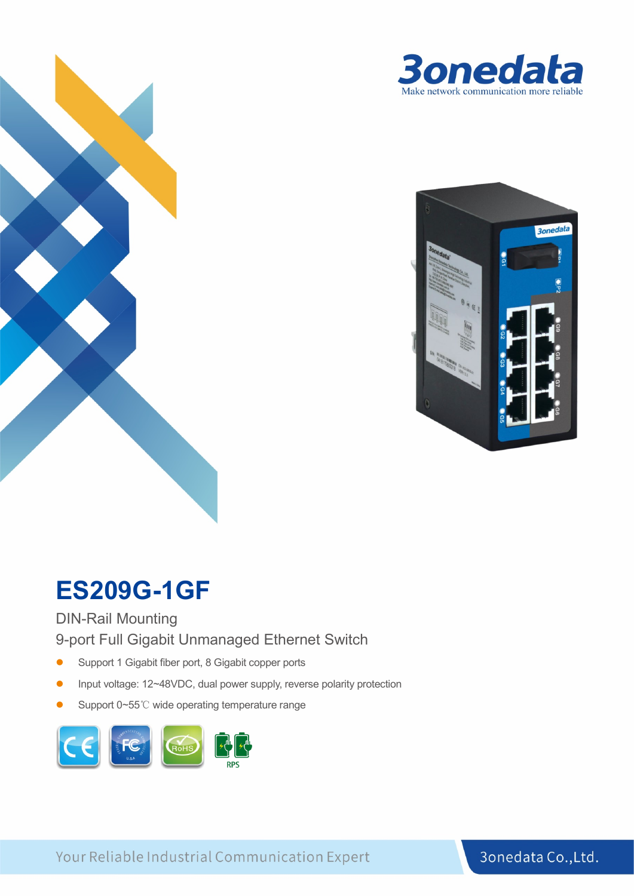



## **ES209G-1GF**

#### DIN-Rail Mounting

9-port Full Gigabit Unmanaged Ethernet Switch

- Support 1 Gigabit fiber port, 8 Gigabit copper ports
- Input voltage: 12~48VDC, dual power supply, reverse polarity protection
- Support 0~55℃ wide operating temperature range



Your Reliable Industrial Communication Expert

3onedata Co., Ltd.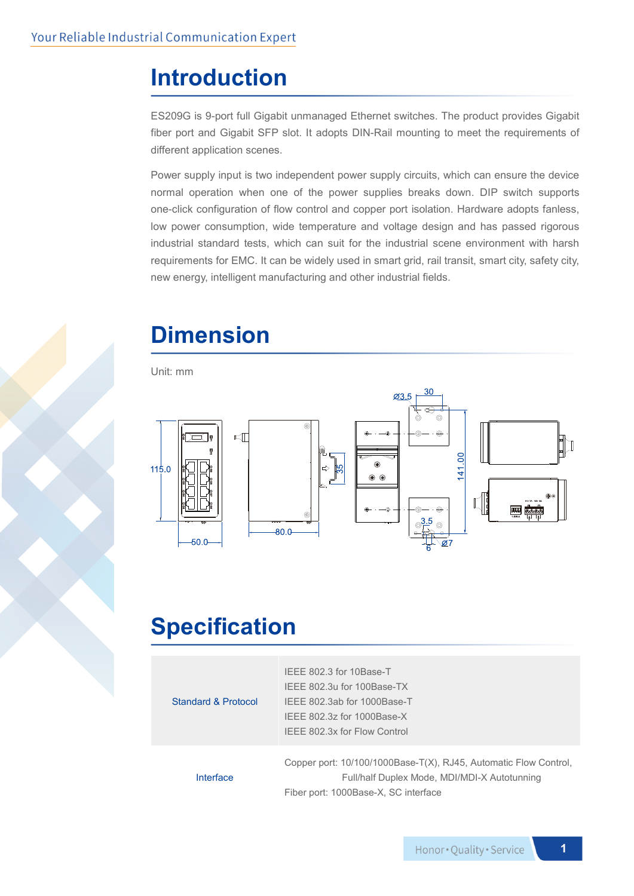#### **Introduction**

ES209G is 9-port full Gigabit unmanaged Ethernet switches. The product provides Gigabit fiber port and Gigabit SFP slot. It adopts DIN-Rail mounting to meet the requirements of different application scenes.

Power supply input is two independent power supply circuits, which can ensure the device normal operation when one of the power supplies breaks down. DIP switch supports one-click configuration of flow control and copper port isolation. Hardware adopts fanless, low power consumption, wide temperature and voltage design and has passed rigorous industrial standard tests, which can suit for the industrial scene environment with harsh requirements for EMC. It can be widely used in smart grid, rail transit, smart city, safety city, new energy, intelligent manufacturing and other industrial fields.



# **Dimension**

Unit: mm



#### **Specification**

| Standard & Protocol | IEEE 802.3 for 10Base-T<br>IEEE 802.3u for 100Base-TX<br>IEEE 802.3ab for 1000Base-T<br>IEEE 802.3z for 1000Base-X<br>IEEE 802.3x for Flow Control       |
|---------------------|----------------------------------------------------------------------------------------------------------------------------------------------------------|
| Interface           | Copper port: 10/100/1000Base-T(X), RJ45, Automatic Flow Control,<br>Full/half Duplex Mode, MDI/MDI-X Autotunning<br>Fiber port: 1000Base-X, SC interface |

**1**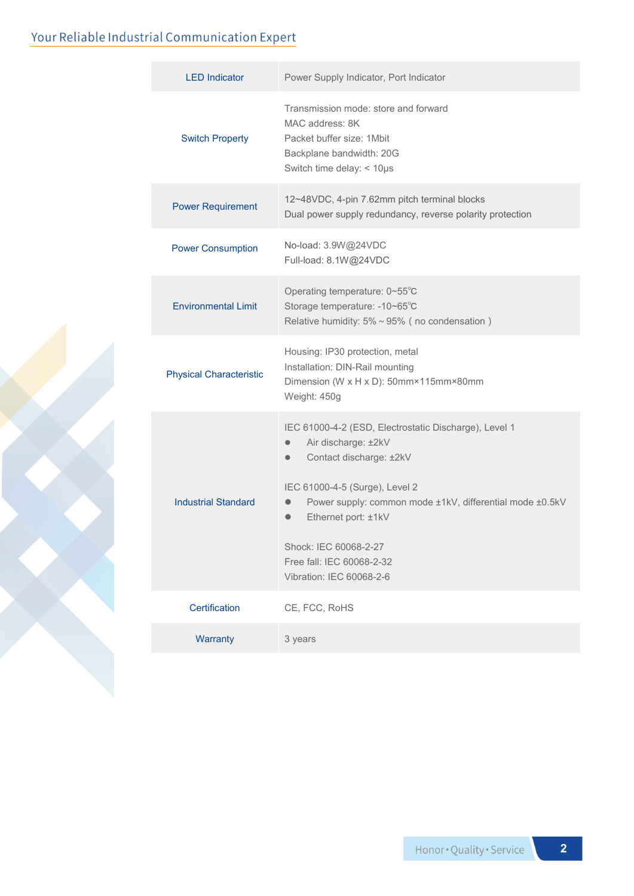#### Your Reliable Industrial Communication Expert

| <b>LED Indicator</b>           | Power Supply Indicator, Port Indicator                                                                                                                                                                                                                                                                                                                |  |  |
|--------------------------------|-------------------------------------------------------------------------------------------------------------------------------------------------------------------------------------------------------------------------------------------------------------------------------------------------------------------------------------------------------|--|--|
| <b>Switch Property</b>         | Transmission mode: store and forward<br>MAC address: 8K<br>Packet buffer size: 1Mbit<br>Backplane bandwidth: 20G<br>Switch time delay: < 10µs                                                                                                                                                                                                         |  |  |
| <b>Power Requirement</b>       | 12~48VDC, 4-pin 7.62mm pitch terminal blocks<br>Dual power supply redundancy, reverse polarity protection                                                                                                                                                                                                                                             |  |  |
| <b>Power Consumption</b>       | No-load: 3.9W@24VDC<br>Full-load: 8.1W@24VDC                                                                                                                                                                                                                                                                                                          |  |  |
| <b>Environmental Limit</b>     | Operating temperature: 0~55°C<br>Storage temperature: -10~65°C<br>Relative humidity: $5\% \sim 95\%$ (no condensation)                                                                                                                                                                                                                                |  |  |
| <b>Physical Characteristic</b> | Housing: IP30 protection, metal<br>Installation: DIN-Rail mounting<br>Dimension (W x H x D): 50mm×115mm×80mm<br>Weight: 450g                                                                                                                                                                                                                          |  |  |
| <b>Industrial Standard</b>     | IEC 61000-4-2 (ESD, Electrostatic Discharge), Level 1<br>Air discharge: ±2kV<br>Contact discharge: ±2kV<br>$\bullet$<br>IEC 61000-4-5 (Surge), Level 2<br>Power supply: common mode ±1kV, differential mode ±0.5kV<br>$\bullet$<br>Ethernet port: ±1kV<br>$\bullet$<br>Shock: IEC 60068-2-27<br>Free fall: IEC 60068-2-32<br>Vibration: IEC 60068-2-6 |  |  |
| Certification                  | CE, FCC, RoHS                                                                                                                                                                                                                                                                                                                                         |  |  |
| Warranty                       | 3 years                                                                                                                                                                                                                                                                                                                                               |  |  |